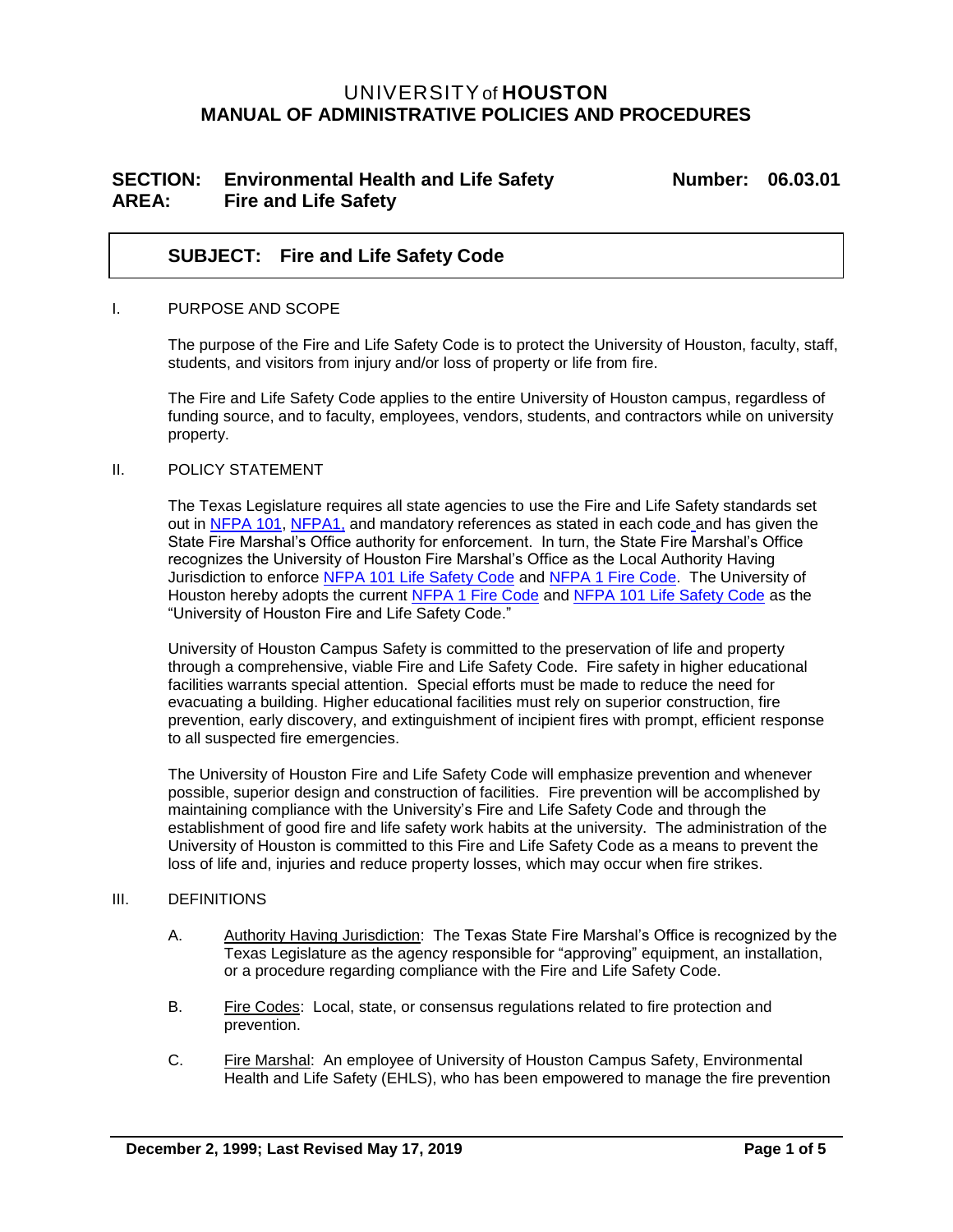# UNIVERSITYof **HOUSTON MANUAL OF ADMINISTRATIVE POLICIES AND PROCEDURES**

## **SECTION: Environmental Health and Life Safety Number: 06.03.01 AREA: Fire and Life Safety**

## **SUBJECT: Fire and Life Safety Code**

#### I. PURPOSE AND SCOPE

The purpose of the Fire and Life Safety Code is to protect the University of Houston, faculty, staff, students, and visitors from injury and/or loss of property or life from fire.

The Fire and Life Safety Code applies to the entire University of Houston campus, regardless of funding source, and to faculty, employees, vendors, students, and contractors while on university property.

### II. POLICY STATEMENT

The Texas Legislature requires all state agencies to use the Fire and Life Safety standards set out in [NFPA 101,](http://www.nfpa.org/codes-and-standards/document-information-pages?mode=code&code=101) [NFPA1,](https://www.nfpa.org/codes-and-standards/all-codes-and-standards/list-of-codes-and-standards/detail?code=1) and mandatory references as stated in each code and has given the State Fire Marshal's Office authority for enforcement. In turn, the State Fire Marshal's Office recognizes the University of Houston Fire Marshal's Office as the Local Authority Having Jurisdiction to enforce [NFPA 101 Life Safety Code](http://www.nfpa.org/codes-and-standards) and [NFPA 1 Fire Code.](https://www.nfpa.org/codes-and-standards/all-codes-and-standards/list-of-codes-and-standards/detail?code=1) The University of Houston hereby adopts the current [NFPA 1 Fire Code](http://www.nfpa.org/codes-and-standards) and [NFPA 101 Life Safety Code](http://www.nfpa.org/codes-and-standards) as the "University of Houston Fire and Life Safety Code."

University of Houston Campus Safety is committed to the preservation of life and property through a comprehensive, viable Fire and Life Safety Code. Fire safety in higher educational facilities warrants special attention. Special efforts must be made to reduce the need for evacuating a building. Higher educational facilities must rely on superior construction, fire prevention, early discovery, and extinguishment of incipient fires with prompt, efficient response to all suspected fire emergencies.

The University of Houston Fire and Life Safety Code will emphasize prevention and whenever possible, superior design and construction of facilities. Fire prevention will be accomplished by maintaining compliance with the University's Fire and Life Safety Code and through the establishment of good fire and life safety work habits at the university. The administration of the University of Houston is committed to this Fire and Life Safety Code as a means to prevent the loss of life and, injuries and reduce property losses, which may occur when fire strikes.

#### III. DEFINITIONS

- A. Authority Having Jurisdiction: The Texas State Fire Marshal's Office is recognized by the Texas Legislature as the agency responsible for "approving" equipment, an installation, or a procedure regarding compliance with the Fire and Life Safety Code.
- B. Fire Codes: Local, state, or consensus regulations related to fire protection and prevention.
- C. Fire Marshal: An employee of University of Houston Campus Safety, Environmental Health and Life Safety (EHLS), who has been empowered to manage the fire prevention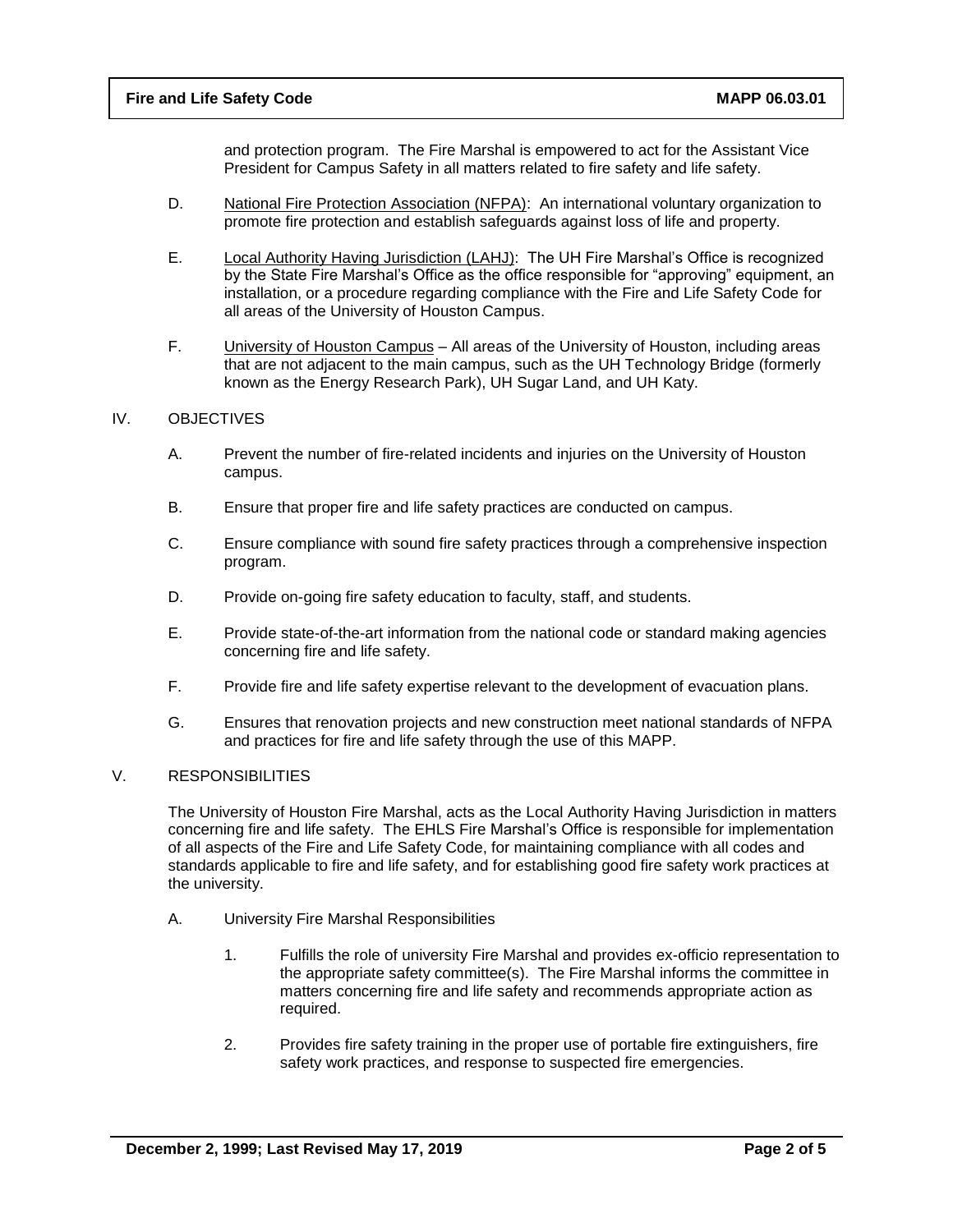and protection program. The Fire Marshal is empowered to act for the Assistant Vice President for Campus Safety in all matters related to fire safety and life safety.

- D. National Fire Protection Association (NFPA): An international voluntary organization to promote fire protection and establish safeguards against loss of life and property.
- E. Local Authority Having Jurisdiction (LAHJ): The UH Fire Marshal's Office is recognized by the State Fire Marshal's Office as the office responsible for "approving" equipment, an installation, or a procedure regarding compliance with the Fire and Life Safety Code for all areas of the University of Houston Campus.
- F. University of Houston Campus All areas of the University of Houston, including areas that are not adjacent to the main campus, such as the UH Technology Bridge (formerly known as the Energy Research Park), UH Sugar Land, and UH Katy.

#### IV. OBJECTIVES

- A. Prevent the number of fire-related incidents and injuries on the University of Houston campus.
- B. Ensure that proper fire and life safety practices are conducted on campus.
- C. Ensure compliance with sound fire safety practices through a comprehensive inspection program.
- D. Provide on-going fire safety education to faculty, staff, and students.
- E. Provide state-of-the-art information from the national code or standard making agencies concerning fire and life safety.
- F. Provide fire and life safety expertise relevant to the development of evacuation plans.
- G. Ensures that renovation projects and new construction meet national standards of NFPA and practices for fire and life safety through the use of this MAPP.

#### V. RESPONSIBILITIES

The University of Houston Fire Marshal, acts as the Local Authority Having Jurisdiction in matters concerning fire and life safety. The EHLS Fire Marshal's Office is responsible for implementation of all aspects of the Fire and Life Safety Code, for maintaining compliance with all codes and standards applicable to fire and life safety, and for establishing good fire safety work practices at the university.

- A. University Fire Marshal Responsibilities
	- 1. Fulfills the role of university Fire Marshal and provides ex-officio representation to the appropriate safety committee(s). The Fire Marshal informs the committee in matters concerning fire and life safety and recommends appropriate action as required.
	- 2. Provides fire safety training in the proper use of portable fire extinguishers, fire safety work practices, and response to suspected fire emergencies.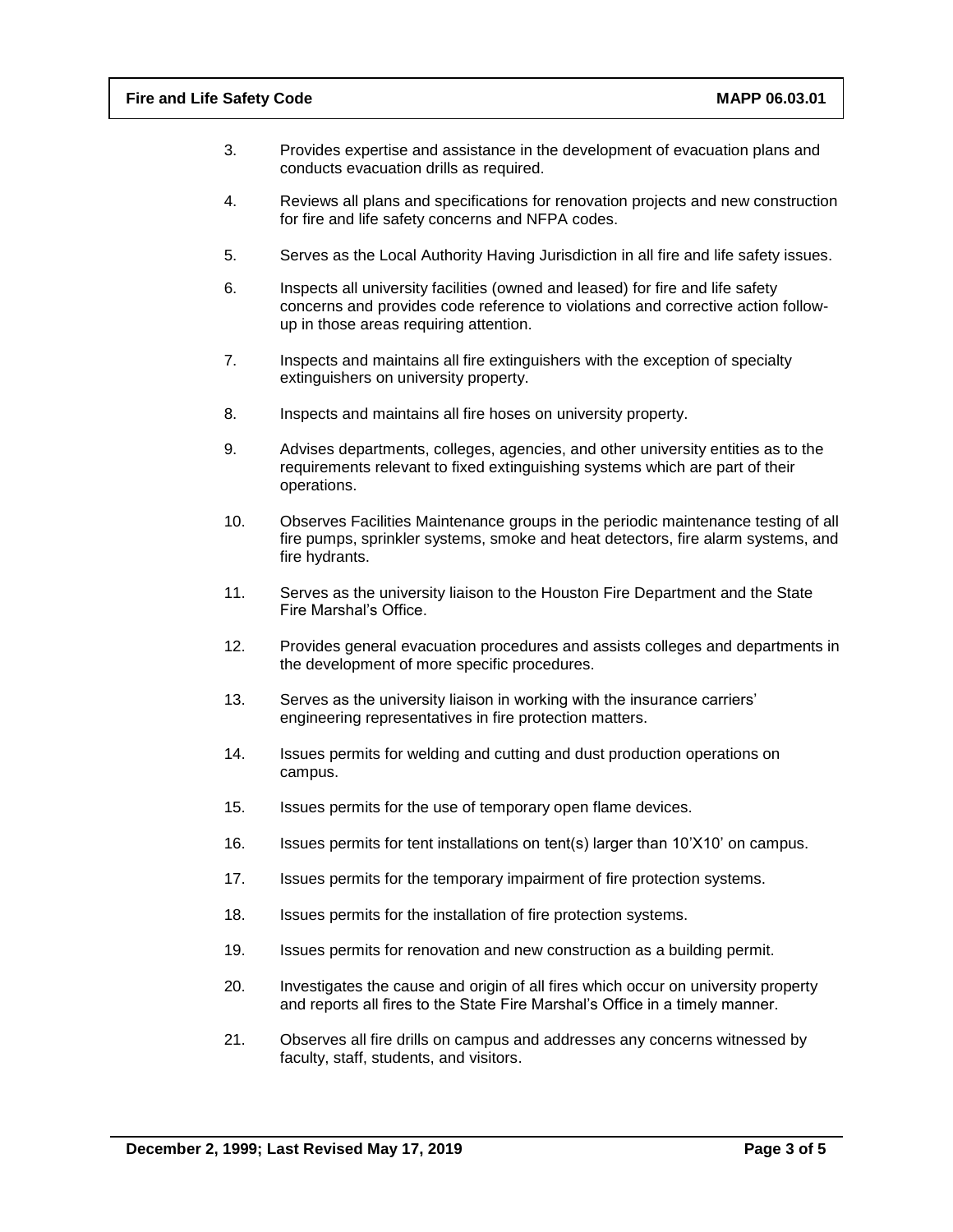- 3. Provides expertise and assistance in the development of evacuation plans and conducts evacuation drills as required.
- 4. Reviews all plans and specifications for renovation projects and new construction for fire and life safety concerns and NFPA codes.
- 5. Serves as the Local Authority Having Jurisdiction in all fire and life safety issues.
- 6. Inspects all university facilities (owned and leased) for fire and life safety concerns and provides code reference to violations and corrective action followup in those areas requiring attention.
- 7. Inspects and maintains all fire extinguishers with the exception of specialty extinguishers on university property.
- 8. Inspects and maintains all fire hoses on university property.
- 9. Advises departments, colleges, agencies, and other university entities as to the requirements relevant to fixed extinguishing systems which are part of their operations.
- 10. Observes Facilities Maintenance groups in the periodic maintenance testing of all fire pumps, sprinkler systems, smoke and heat detectors, fire alarm systems, and fire hydrants.
- 11. Serves as the university liaison to the Houston Fire Department and the State Fire Marshal's Office.
- 12. Provides general evacuation procedures and assists colleges and departments in the development of more specific procedures.
- 13. Serves as the university liaison in working with the insurance carriers' engineering representatives in fire protection matters.
- 14. Issues permits for welding and cutting and dust production operations on campus.
- 15. Issues permits for the use of temporary open flame devices.
- 16. Issues permits for tent installations on tent(s) larger than 10'X10' on campus.
- 17. Issues permits for the temporary impairment of fire protection systems.
- 18. Issues permits for the installation of fire protection systems.
- 19. Issues permits for renovation and new construction as a building permit.
- 20. Investigates the cause and origin of all fires which occur on university property and reports all fires to the State Fire Marshal's Office in a timely manner.
- 21. Observes all fire drills on campus and addresses any concerns witnessed by faculty, staff, students, and visitors.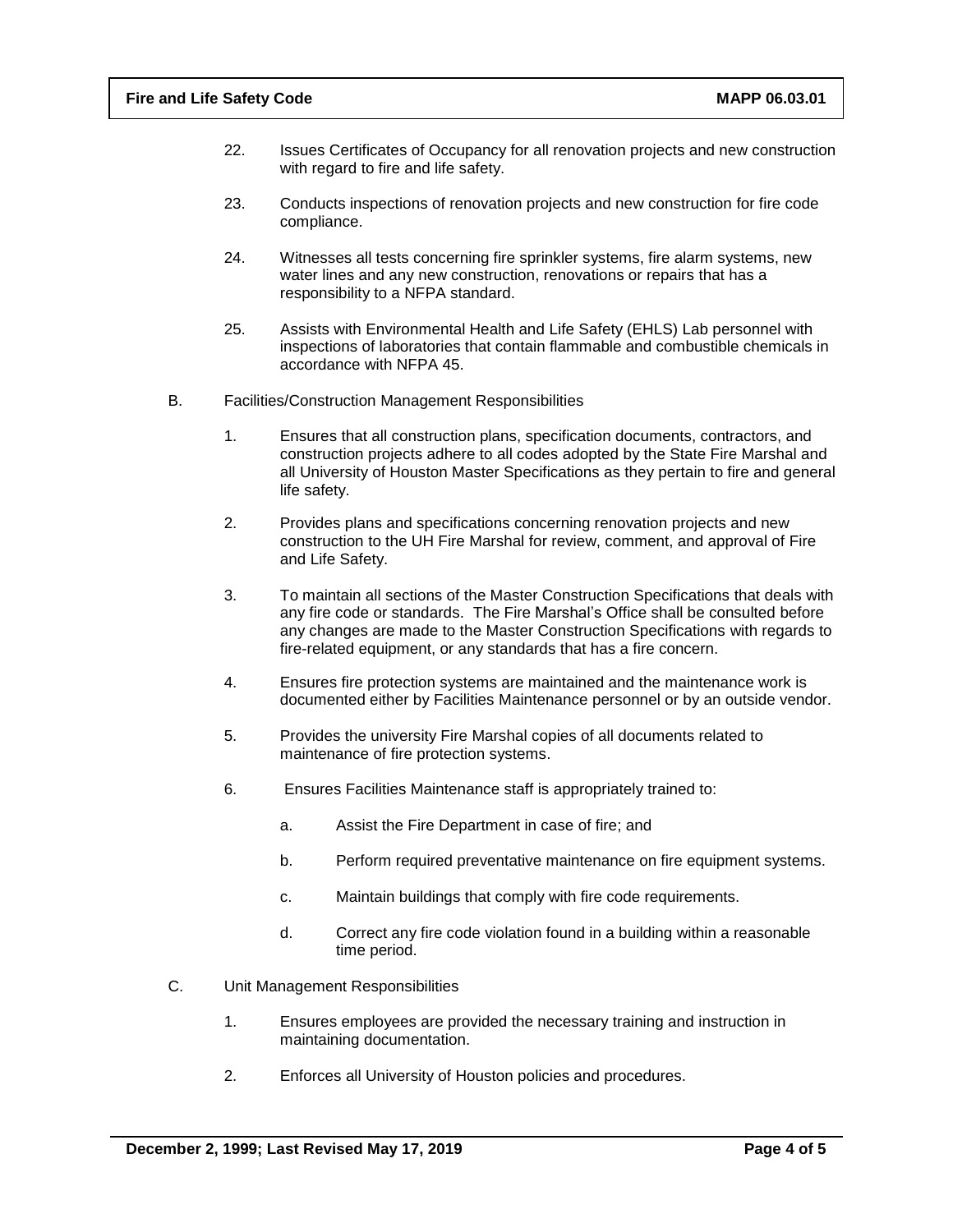- 22. Issues Certificates of Occupancy for all renovation projects and new construction with regard to fire and life safety.
- 23. Conducts inspections of renovation projects and new construction for fire code compliance.
- 24. Witnesses all tests concerning fire sprinkler systems, fire alarm systems, new water lines and any new construction, renovations or repairs that has a responsibility to a NFPA standard.
- 25. Assists with Environmental Health and Life Safety (EHLS) Lab personnel with inspections of laboratories that contain flammable and combustible chemicals in accordance with NFPA 45.
- B. Facilities/Construction Management Responsibilities
	- 1. Ensures that all construction plans, specification documents, contractors, and construction projects adhere to all codes adopted by the State Fire Marshal and all University of Houston Master Specifications as they pertain to fire and general life safety.
	- 2. Provides plans and specifications concerning renovation projects and new construction to the UH Fire Marshal for review, comment, and approval of Fire and Life Safety.
	- 3. To maintain all sections of the Master Construction Specifications that deals with any fire code or standards. The Fire Marshal's Office shall be consulted before any changes are made to the Master Construction Specifications with regards to fire-related equipment, or any standards that has a fire concern.
	- 4. Ensures fire protection systems are maintained and the maintenance work is documented either by Facilities Maintenance personnel or by an outside vendor.
	- 5. Provides the university Fire Marshal copies of all documents related to maintenance of fire protection systems.
	- 6. Ensures Facilities Maintenance staff is appropriately trained to:
		- a. Assist the Fire Department in case of fire; and
		- b. Perform required preventative maintenance on fire equipment systems.
		- c. Maintain buildings that comply with fire code requirements.
		- d. Correct any fire code violation found in a building within a reasonable time period.
- C. Unit Management Responsibilities
	- 1. Ensures employees are provided the necessary training and instruction in maintaining documentation.
	- 2. Enforces all University of Houston policies and procedures.